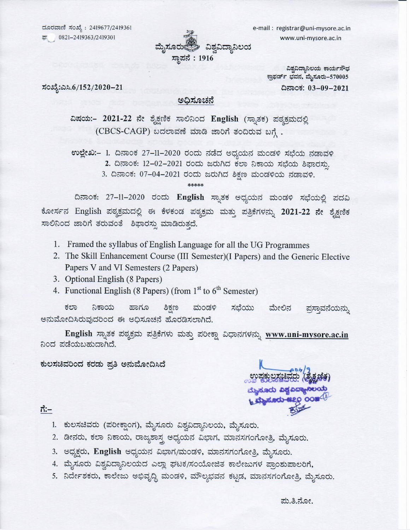ದೂರವಾಣಿ ಸಂಖ್ಯೆ : 2419677/2419361 40821-2419363/2419301



e-mail : registrar@uni-mysore.ac.in www.uni-mysore.ac.in

> ವಿಶ್ವವಿದ್ಯಾನಿಲಯ ಕಾರ್ಯಸೌಧ ಕ್ರಾಫರ್ಡ್ ಭವನ, ಮೈಸೂರು–570005 ದಿನಾಂಕ: 03-09-2021

ಸಂಖ್ಯೆ:ಎಸಿ.6/152/2020–21

#### ಅಧಿಸೂಚನೆ

ವಿಷಯ:- 2021-22 ನೇ ಶೈಕ್ಷಣಿಕ ಸಾಲಿನಿಂದ English (ಸ್ನಾತಕ) ಪಠ್ಯಕ್ರಮದಲ್ಲಿ (CBCS-CAGP) ಬದಲಾವಣೆ ಮಾಡಿ ಜಾರಿಗೆ ತಂದಿರುವ ಬಗ್ಗೆ.

ಉಲ್ಲೇಖ:– 1. ದಿನಾಂಕ 27–11–2020 ರಂದು ನಡೆದ ಅಧ್ಯಯನ ಮಂಡಳಿ ಸಭೆಯ ನಡಾವಳಿ 2. ದಿನಾಂಕ: 12-02-2021 ರಂದು ಜರುಗಿದ ಕಲಾ ನಿಕಾಯ ಸಭೆಯ ಶಿಫಾರಸು. 3. ದಿನಾಂಕ: 07-04-2021 ರಂದು ಜರುಗಿದ ಶಿಕ್ಷಣ ಮಂಡಳಿಯ ನಡಾವಳಿ.

ದಿನಾಂಕ: 27-11-2020 ರಂದು English ಸ್ನಾತಕ ಅಧ್ಯಯನ ಮಂಡಳಿ ಸಭೆಯಲ್ಲಿ ಪದವಿ ಕೋರ್ಸನ English ಪಠ್ಯಕ್ರಮದಲ್ಲಿ ಈ ಕೆಳಕಂಡ ಪಠ್ಯಕ್ರಮ ಮತ್ತು ಪತ್ರಿಕೆಗಳನ್ನು 2021-22 ನೇ ಶೈಕ್ಷಣಿಕ ಸಾಲಿನಿಂದ ಜಾರಿಗೆ ತರುವಂತೆ ಶಿಫಾರಸ್ಸು ಮಾಡಿರುತ್ತದೆ.

\*\*\*\*\*

- 1. Framed the syllabus of English Language for all the UG Programmes
- 2. The Skill Enhancement Course (III Semester)(I Papers) and the Generic Elective Papers V and VI Semesters (2 Papers)
- 3. Optional English (8 Papers)
- 4. Functional English (8 Papers) (from  $1<sup>st</sup>$  to  $6<sup>th</sup>$  Semester)

ಕಲಾ ನಿಕಾಯ ಹಾಗೂ ಶಿಕ್ಷಣ ಸಭೆಯು ಮಂಡಳಿ ಮೇಲಿನ ಪಸ್ತಾವನೆಯನ್ನು ಅನುಮೋದಿಸಿರುವುದರಿಂದ ಈ ಅಧಿಸೂಚನೆ ಹೊರಡಿಸಲಾಗಿದೆ.

English ಸ್ನಾತಕ ಪಠ್ಯಕ್ರಮ ಪತ್ರಿಕೆಗಳು ಮತ್ತು ಪರೀಕ್ಷಾ ವಿಧಾನಗಳನ್ನು <u>www.uni-mysore.ac.in</u> ನಿಂದ ಪಡೆಯಬಹುದಾಗಿದೆ.

#### ಕುಲಸಚಿವರಿಂದ ಕರಡು ಪ್ರತಿ ಅನುಮೋದಿಸಿದೆ

ಮೈಸೂರು ವಿಶ್ವವಿದ್ಯಾನಿಲಯ್ಲ **Laborato ese o comediations** 

#### ಗೆ:–

- 1. ಕುಲಸಚಿವರು (ಪರೀಕ್ಷಾಂಗ), ಮೈಸೂರು ವಿಶ್ವವಿದ್ಯಾನಿಲಯ, ಮೈಸೂರು.
- 2. ಡೀನರು, ಕಲಾ ನಿಕಾಯ, ರಾಜ್ಯಶಾಸ್ತ್ರ ಅಧ್ಯಯನ ವಿಭಾಗ, ಮಾನಸಗಂಗೋತ್ರಿ, ಮೈಸೂರು.
- 3. ಅಧ್ಯಕ್ಷರು, English ಅಧ್ಯಯನ ವಿಭಾಗ/ಮಂಡಳಿ, ಮಾನಸಗಂಗೋತ್ರಿ, ಮೈಸೂರು.
- 4. ಮೈಸೂರು ವಿಶ್ವವಿದ್ಯಾನಿಲಯದ ಎಲ್ಲಾ ಘಟಕ/ಸಂಯೋಜಿತ ಕಾಲೇಜುಗಳ ಪ್ರಾಂಶುಪಾಲರಿಗೆ,
- 5. ನಿರ್ದೇಶಕರು, ಕಾಲೇಜು ಅಭಿವೃದ್ಧಿ ಮಂಡಳಿ, ಮೌಲ್ಯಭವನ ಕಟ್ಟಡ, ಮಾನಸಗಂಗೋತ್ರಿ, ಮೈಸೂರು.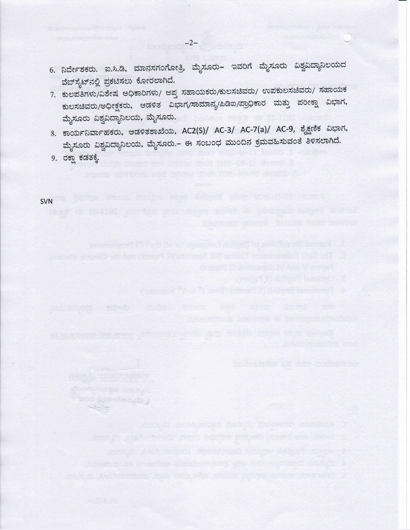- 6. ನಿರ್ದೇಶಕರು. ಐ.ಸಿ.ಡಿ, ಮಾನಸಗಂಗೋತ್ರಿ, ಮೈಸೂರು– ಇವರಿಗೆ ಮೈಸೂರು ವಿಶ್ವವಿದ್ಯಾನಿಲಯದ ವೆಬ್ ಸೈಟ್ ನಲ್ಲಿ ಪ್ರಕಟಿಸಲು ಕೋರಲಾಗಿದೆ.
- 7. ಕುಲಪತಿಗಳು/ವಿಶೇಷ ಅಧಿಕಾರಿಗಳು/ ಆಪ್ತ ಸಹಾಯಕರು/ಕುಲಸಚಿವರು/ ಉಪಕುಲಸಚಿವರು/ ಸಹಾಯಕ ಕುಲಸಚಿವರು/ಅಧೀಕ್ಷಕರು, ಆಡಳಿತ ವಿಭಾಗ/ಸಾಮಾನ್ಯ/ಪಿಡಿಐ/ಪ್ರಾಧಿಕಾರ ಮತ್ತು ಪರೀಕ್ಷಾ ವಿಭಾಗ, ಮೈಸೂರು ವಿಶ್ವವಿದ್ಯಾನಿಲಯ, ಮೈಸೂರು.
- 8. ಕಾರ್ಯನಿರ್ವಾಹಕರು, ಆಡಳಿತಶಾಖೆಯ, AC2(S)/ AC-3/ AC-7(a)/ AC-9, ಶೈಕ್ಷಣಿಕ ವಿಭಾಗ, ಮೈಸೂರು ವಿಶ್ವವಿದ್ಯಾನಿಲಯ, ಮೈಸೂರು.– ಈ ಸಂಬಂಧ ಮುಂದಿನ ಕ್ರಮವಹಿಸುವಂತೆ ತಿಳಿಸಲಾಗಿದೆ.

resort & different innoint

9. ರಕ್ಷಾ ಕಡತಕ್ಕೆ.

charter a safer Stretz

SVN PRODUCED AND RESERVE AND RESERVE AND RESERVE AND RESERVE AND RESERVE AND RESERVE AND RESERVE AND RESERVE A

 $-2-$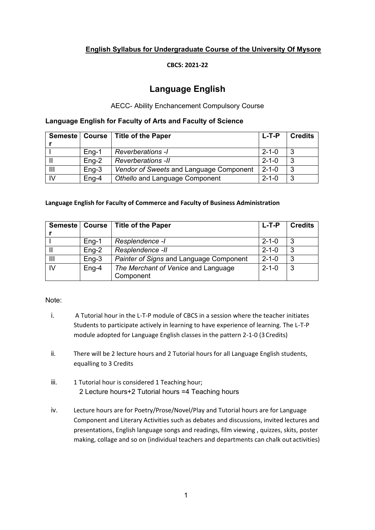## **English Syllabus for Undergraduate Course of the University Of Mysore**

#### **CBCS: 2021-22**

# **Language English**

#### AECC- Ability Enchancement Compulsory Course

#### **Language English for Faculty of Arts and Faculty of Science**

|                |         | Semeste   Course   Title of the Paper   | L-T-P       | <b>Credits</b> |
|----------------|---------|-----------------------------------------|-------------|----------------|
|                |         |                                         |             |                |
|                | $Eng-1$ | <b>Reverberations -I</b>                | $2 - 1 - 0$ |                |
|                | $Eng-2$ | <b>Reverberations -II</b>               | $2 - 1 - 0$ | 3              |
| $\mathbf{III}$ | $Eng-3$ | Vendor of Sweets and Language Component | $2 - 1 - 0$ | 3              |
| IV             | $Eng-4$ | Othello and Language Component          | $2 - 1 - 0$ | 3              |

#### **Language English for Faculty of Commerce and Faculty of Business Administration**

| Semeste | Course  | <b>Title of the Paper</b>               | L-T-P       | <b>Credits</b> |
|---------|---------|-----------------------------------------|-------------|----------------|
|         |         |                                         |             |                |
|         | $Eng-1$ | Resplendence -I                         | $2 - 1 - 0$ | 3              |
|         | $Eng-2$ | Resplendence -II                        | $2 - 1 - 0$ | 3              |
| Ш       | $Eng-3$ | Painter of Signs and Language Component | $2 - 1 - 0$ | 3              |
| IV      | $Eng-4$ | The Merchant of Venice and Language     | $2 - 1 - 0$ | 3              |
|         |         | Component                               |             |                |

#### Note:

- i. A Tutorial hour in the L-T-P module of CBCS in a session where the teacher initiates Students to participate actively in learning to have experience of learning. The L-T-P module adopted for Language English classes in the pattern 2-1-0 (3Credits)
- ii. There will be 2 lecture hours and 2 Tutorial hours for all Language English students, equalling to 3 Credits
- iii. 1 Tutorial hour is considered 1 Teaching hour; 2 Lecture hours+2 Tutorial hours =4 Teaching hours
- iv. Lecture hours are for Poetry/Prose/Novel/Play and Tutorial hours are for Language Component and Literary Activities such as debates and discussions, invited lectures and presentations, English language songs and readings, film viewing , quizzes, skits, poster making, collage and so on (individual teachers and departments can chalk out activities)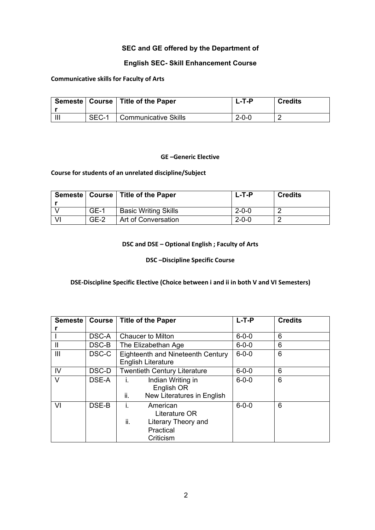## **SEC and GE offered by the Department of**

## **English SEC- Skill Enhancement Course**

#### **Communicative skills for Faculty of Arts**

|       | Semeste   Course   Title of the Paper | 1 -T-P | <b>Credits</b> |
|-------|---------------------------------------|--------|----------------|
| SEC-1 | Communicative Skills                  | -2-0-0 |                |

#### **GE –Generic Elective**

#### **Course for students of an unrelated discipline/Subject**

|        | Semeste   Course   Title of the Paper | $L$ -T-P    | <b>Credits</b> |
|--------|---------------------------------------|-------------|----------------|
|        |                                       |             |                |
| $GE-1$ | <b>Basic Writing Skills</b>           | $2 - 0 - 0$ |                |
| $GF-2$ | Art of Conversation                   | $2 - 0 - 0$ |                |

#### **DSC and DSE – Optional English ; Faculty of Arts**

#### **DSC –Discipline Specific Course**

#### **DSE-Discipline Specific Elective (Choice between i and ii in both V and VI Semesters)**

| <b>Semeste</b> | <b>Course</b> | <b>Title of the Paper</b>                                                               | $L-T-P$     | <b>Credits</b> |
|----------------|---------------|-----------------------------------------------------------------------------------------|-------------|----------------|
|                |               |                                                                                         |             |                |
|                | DSC-A         | <b>Chaucer to Milton</b>                                                                | $6 - 0 - 0$ | 6              |
| $\mathbf{I}$   | DSC-B         | The Elizabethan Age                                                                     | $6 - 0 - 0$ | 6              |
| Ш              | DSC-C         | Eighteenth and Nineteenth Century<br><b>English Literature</b>                          | $6 - 0 - 0$ | 6              |
| IV             | DSC-D         | <b>Twentieth Century Literature</b>                                                     | $6 - 0 - 0$ | 6              |
| V              | DSE-A         | Indian Writing in<br>Ť.<br>English OR<br>New Literatures in English<br>ii.              | $6 - 0 - 0$ | 6              |
| VI             | DSE-B         | American<br>Ĺ.<br>Literature OR<br>ii.<br>Literary Theory and<br>Practical<br>Criticism | $6 - 0 - 0$ | 6              |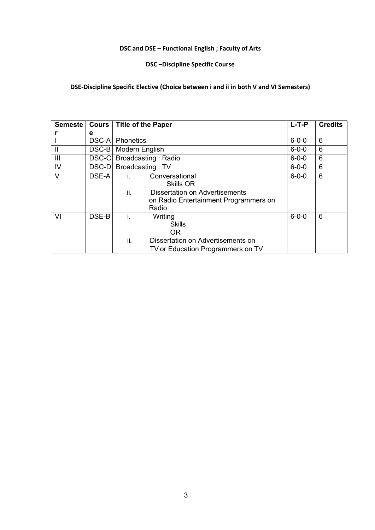## **DSC and DSE – Functional English ; Faculty of Arts**

## **DSC –Discipline Specific Course**

## **DSE-Discipline Specific Elective (Choice between i and ii in both V and VI Semesters)**

| <b>Semeste</b> | Cours         |                        | <b>Title of the Paper</b>                                                                                       | $L-T-P$     | <b>Credits</b> |
|----------------|---------------|------------------------|-----------------------------------------------------------------------------------------------------------------|-------------|----------------|
|                | е             |                        |                                                                                                                 |             |                |
|                | <b>DSC-AI</b> | Phonetics              |                                                                                                                 | $6 - 0 - 0$ | 6              |
| $\mathbf{I}$   |               | DSC-B   Modern English |                                                                                                                 | $6 - 0 - 0$ | 6              |
| Ш              | DSC-C         |                        | Broadcasting: Radio                                                                                             | $6 - 0 - 0$ | 6              |
| IV             | DSC-D         |                        | Broadcasting: TV                                                                                                | $6 - 0 - 0$ | 6              |
| $\vee$         | DSE-A         | L.<br>ii.              | Conversational<br>Skills OR<br>Dissertation on Advertisements<br>on Radio Entertainment Programmers on<br>Radio | $6 - 0 - 0$ | 6              |
| VI             | DSE-B         | Ť.<br>ii.              | Writing<br><b>Skills</b><br>OR.<br>Dissertation on Advertisements on<br>TV or Education Programmers on TV       | $6 - 0 - 0$ | 6              |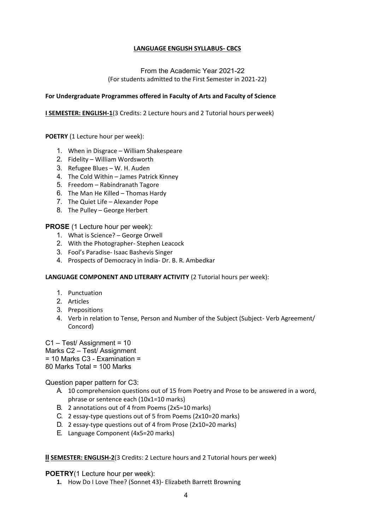#### **LANGUAGE ENGLISH SYLLABUS- CBCS**

#### From the Academic Year 2021-22 (For students admitted to the First Semester in 2021-22)

#### **For Undergraduate Programmes offered in Faculty of Arts and Faculty of Science**

**I SEMESTER: ENGLISH-1**(3 Credits: 2 Lecture hours and 2 Tutorial hours perweek)

**POETRY** (1 Lecture hour per week):

- 1. When in Disgrace William Shakespeare
- 2. Fidelity William Wordsworth
- 3. Refugee Blues W. H. Auden
- 4. The Cold Within James Patrick Kinney
- 5. Freedom Rabindranath Tagore
- 6. The Man He Killed Thomas Hardy
- 7. The Quiet Life Alexander Pope
- 8. The Pulley George Herbert

#### **PROSE** (1 Lecture hour per week):

- 1. What is Science? George Orwell
- 2. With the Photographer- Stephen Leacock
- 3. Fool's Paradise- Isaac Bashevis Singer
- 4. Prospects of Democracy in India- Dr. B. R. Ambedkar

**LANGUAGE COMPONENT AND LITERARY ACTIVITY** (2 Tutorial hours per week):

- 1. Punctuation
- 2. Articles
- 3. Prepositions
- 4. Verb in relation to Tense, Person and Number of the Subject (Subject- Verb Agreement/ Concord)

C1 – Test/ Assignment = 10

- Marks C2 Test/ Assignment
- $= 10$  Marks C<sub>3</sub> Examination  $=$
- 80 Marks Total = 100 Marks

Question paper pattern for C3:

- A. 10 comprehension questions out of 15 from Poetry and Prose to be answered in a word, phrase or sentence each (10x1=10 marks)
- B. 2 annotations out of 4 from Poems (2x5=10 marks)
- C. 2 essay-type questions out of 5 from Poems (2x10=20 marks)
- D. 2 essay-type questions out of 4 from Prose (2x10=20 marks)
- E. Language Component (4x5=20 marks)

#### **II SEMESTER: ENGLISH-2**(3 Credits: 2 Lecture hours and 2 Tutorial hours per week)

#### **POETRY**(1 Lecture hour per week):

**1.** How Do I Love Thee? (Sonnet 43)- Elizabeth Barrett Browning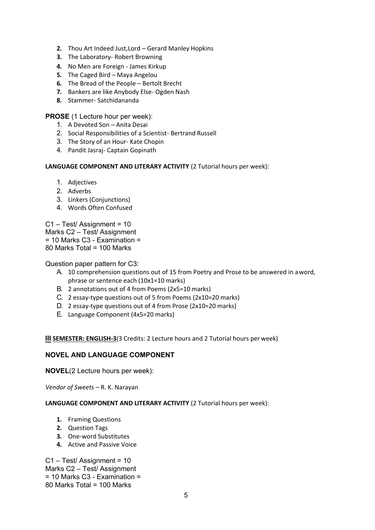- **2.** Thou Art Indeed Just,Lord Gerard Manley Hopkins
- **3.** The Laboratory- Robert Browning
- **4.** No Men are Foreign James Kirkup
- **5.** The Caged Bird Maya Angelou
- **6.** The Bread of the People Bertolt Brecht
- **7.** Bankers are like Anybody Else- Ogden Nash
- **8.** Stammer- Satchidananda

**PROSE** (1 Lecture hour per week):

- 1. A Devoted Son Anita Desai
- 2. Social Responsibilities of a Scientist- Bertrand Russell
- 3. The Story of an Hour- Kate Chopin
- 4. Pandit Jasraj- Captain Gopinath

**LANGUAGE COMPONENT AND LITERARY ACTIVITY** (2 Tutorial hours per week):

- 1. Adjectives
- 2. Adverbs
- 3. Linkers (Conjunctions)
- 4. Words Often Confused

C1 – Test/ Assignment = 10 Marks C2 – Test/ Assignment = 10 Marks C3 - Examination = 80 Marks Total = 100 Marks

Question paper pattern for C3:

- A. 10 comprehension questions out of 15 from Poetry and Prose to be answered in aword, phrase or sentence each (10x1=10 marks)
- B. 2 annotations out of 4 from Poems (2x5=10 marks)
- C. 2 essay-type questions out of 5 from Poems (2x10=20 marks)
- D. 2 essay-type questions out of 4 from Prose (2x10=20 marks)
- E. Language Component (4x5=20 marks)

**III SEMESTER: ENGLISH-3**(3 Credits: 2 Lecture hours and 2 Tutorial hours per week)

#### **NOVEL AND LANGUAGE COMPONENT**

**NOVEL**(2 Lecture hours per week):

*Vendor of Sweets* – R. K. Narayan

#### **LANGUAGE COMPONENT AND LITERARY ACTIVITY** (2 Tutorial hours per week):

- **1.** Framing Questions
- **2.** Question Tags
- **3.** One-word Substitutes
- **4.** Active and Passive Voice

C1 – Test/ Assignment = 10 Marks C2 – Test/ Assignment = 10 Marks C3 - Examination = 80 Marks Total = 100 Marks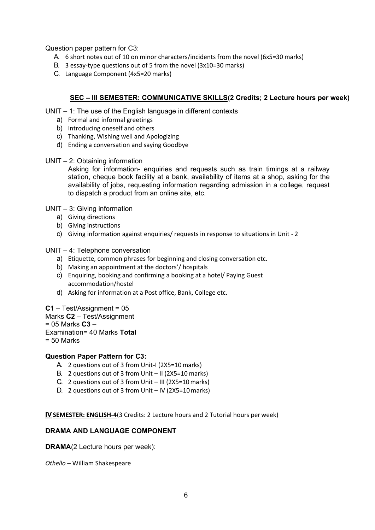Question paper pattern for C3:

- A. 6 short notes out of 10 on minor characters/incidents from the novel (6x5=30 marks)
- B. 3 essay-type questions out of 5 from the novel (3x10=30 marks)
- C. Language Component (4x5=20 marks)

## **SEC – III SEMESTER: COMMUNICATIVE SKILLS(2 Credits; 2 Lecture hours per week)**

UNIT – 1: The use of the English language in different contexts

- a) Formal and informal greetings
- b) Introducing oneself and others
- c) Thanking, Wishing well and Apologizing
- d) Ending a conversation and saying Goodbye
- UNIT 2: Obtaining information

Asking for information- enquiries and requests such as train timings at a railway station, cheque book facility at a bank, availability of items at a shop, asking for the availability of jobs, requesting information regarding admission in a college, request to dispatch a product from an online site, etc.

UNIT – 3: Giving information

- a) Giving directions
- b) Giving instructions
- c) Giving information against enquiries/ requests in response to situations in Unit 2

#### UNIT – 4: Telephone conversation

- a) Etiquette, common phrases for beginning and closing conversation etc.
- b) Making an appointment at the doctors'/ hospitals
- c) Enquiring, booking and confirming a booking at a hotel/ Paying Guest accommodation/hostel
- d) Asking for information at a Post office, Bank, College etc.

#### **C1** – Test/Assignment = 05

- Marks **C2**  Test/Assignment
- = 05 Marks **C3** –
- Examination= 40 Marks **Total**
- = 50 Marks

#### **Question Paper Pattern for C3:**

- A. 2 questions out of 3 from Unit-I (2X5=10 marks)
- B. 2 questions out of 3 from Unit II ( $2X5=10$  marks)
- C. 2 questions out of 3 from Unit III (2X5=10marks)
- D. 2 questions out of 3 from Unit IV (2X5=10marks)

**IVSEMESTER: ENGLISH-4**(3 Credits: 2 Lecture hours and 2 Tutorial hours per week)

## **DRAMA AND LANGUAGE COMPONENT**

**DRAMA**(2 Lecture hours per week):

*Othello* – William Shakespeare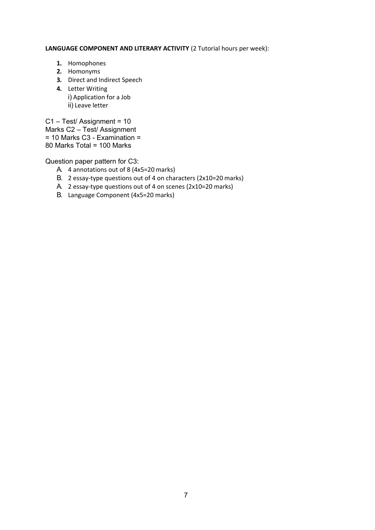#### **LANGUAGE COMPONENT AND LITERARY ACTIVITY** (2 Tutorial hours per week):

- **1.** Homophones
- **2.** Homonyms
- **3.** Direct and Indirect Speech
- **4.** Letter Writing i) Application for a Job ii) Leave letter

C1 – Test/ Assignment = 10 Marks C2 – Test/ Assignment  $= 10$  Marks C3 - Examination  $=$ 80 Marks Total = 100 Marks

Question paper pattern for C3:

- A. 4 annotations out of 8 (4x5=20 marks)
- B. 2 essay-type questions out of 4 on characters (2x10=20 marks)
- A. 2 essay-type questions out of 4 on scenes (2x10=20 marks)
- B. Language Component (4x5=20 marks)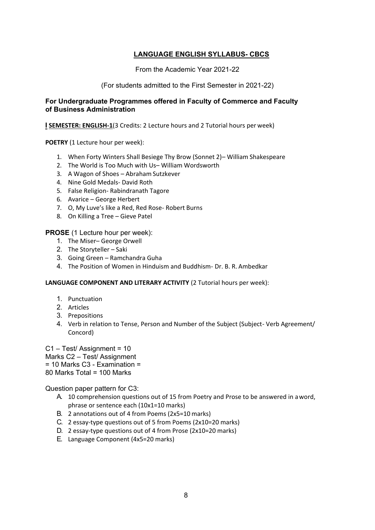## **LANGUAGE ENGLISH SYLLABUS- CBCS**

From the Academic Year 2021-22

#### (For students admitted to the First Semester in 2021-22)

#### **For Undergraduate Programmes offered in Faculty of Commerce and Faculty of Business Administration**

**I SEMESTER: ENGLISH-1**(3 Credits: 2 Lecture hours and 2 Tutorial hours per week)

**POETRY** (1 Lecture hour per week):

- 1. When Forty Winters Shall Besiege Thy Brow (Sonnet 2)– William Shakespeare
- 2. The World is Too Much with Us– William Wordsworth
- 3. A Wagon of Shoes Abraham Sutzkever
- 4. Nine Gold Medals- David Roth
- 5. False Religion- Rabindranath Tagore
- 6. Avarice George Herbert
- 7. O, My Luve's like a Red, Red Rose- Robert Burns
- 8. On Killing a Tree Gieve Patel

**PROSE** (1 Lecture hour per week):

- 1. The Miser– George Orwell
- 2. The Storyteller Saki
- 3. Going Green Ramchandra Guha
- 4. The Position of Women in Hinduism and Buddhism- Dr. B. R. Ambedkar

#### **LANGUAGE COMPONENT AND LITERARY ACTIVITY** (2 Tutorial hours per week):

- 1. Punctuation
- 2. Articles
- 3. Prepositions
- 4. Verb in relation to Tense, Person and Number of the Subject (Subject- Verb Agreement/ Concord)

C1 – Test/ Assignment = 10

Marks C2 – Test/ Assignment

= 10 Marks C3 - Examination =

80 Marks Total = 100 Marks

Question paper pattern for C3:

- A. 10 comprehension questions out of 15 from Poetry and Prose to be answered in aword, phrase or sentence each (10x1=10 marks)
- B. 2 annotations out of 4 from Poems (2x5=10 marks)
- C. 2 essay-type questions out of 5 from Poems (2x10=20 marks)
- D. 2 essay-type questions out of 4 from Prose (2x10=20 marks)
- E. Language Component (4x5=20 marks)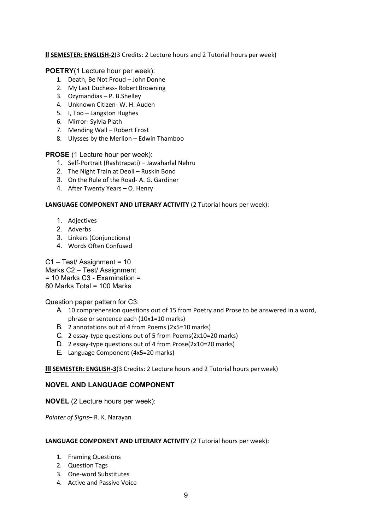## **II SEMESTER: ENGLISH-2**(3 Credits: 2 Lecture hours and 2 Tutorial hours per week)

#### **POETRY**(1 Lecture hour per week):

- 1. Death, Be Not Proud John Donne
- 2. My Last Duchess- Robert Browning
- 3. Ozymandias P. B.Shelley
- 4. Unknown Citizen- W. H. Auden
- 5. I, Too Langston Hughes
- 6. Mirror- Sylvia Plath
- 7. Mending Wall Robert Frost
- 8. Ulysses by the Merlion Edwin Thamboo

#### **PROSE** (1 Lecture hour per week):

- 1. Self-Portrait (Rashtrapati) Jawaharlal Nehru
- 2. The Night Train at Deoli Ruskin Bond
- 3. On the Rule of the Road- A. G. Gardiner
- 4. After Twenty Years O. Henry

#### **LANGUAGE COMPONENT AND LITERARY ACTIVITY** (2 Tutorial hours per week):

- 1. Adjectives
- 2. Adverbs
- 3. Linkers (Conjunctions)
- 4. Words Often Confused

C1 – Test/ Assignment = 10

Marks C2 – Test/ Assignment

 $= 10$  Marks C<sub>3</sub> - Examination  $=$ 

80 Marks Total = 100 Marks

Question paper pattern for C3:

- A. 10 comprehension questions out of 15 from Poetry and Prose to be answered in a word, phrase or sentence each (10x1=10 marks)
- B. 2 annotations out of 4 from Poems (2x5=10 marks)
- C. 2 essay-type questions out of 5 from Poems(2x10=20 marks)
- D. 2 essay-type questions out of 4 from Prose(2x10=20 marks)
- E. Language Component (4x5=20 marks)

#### **III SEMESTER: ENGLISH-3**(3 Credits: 2 Lecture hours and 2 Tutorial hours per week)

#### **NOVEL AND LANGUAGE COMPONENT**

**NOVEL** (2 Lecture hours per week):

*Painter of Signs*– R. K. Narayan

#### **LANGUAGE COMPONENT AND LITERARY ACTIVITY** (2 Tutorial hours per week):

- 1. Framing Questions
- 2. Question Tags
- 3. One-word Substitutes
- 4. Active and Passive Voice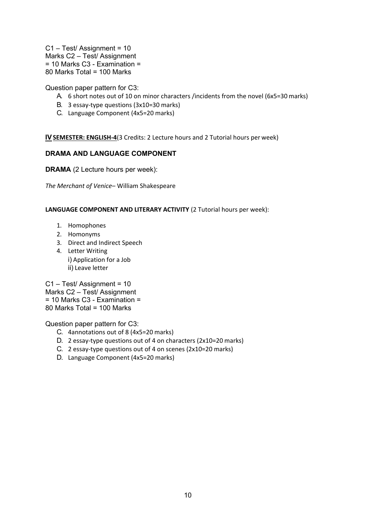C1 – Test/ Assignment = 10 Marks C2 – Test/ Assignment = 10 Marks C3 - Examination = 80 Marks Total = 100 Marks

Question paper pattern for C3:

- A. 6 short notes out of 10 on minor characters /incidents from the novel (6x5=30 marks)
- B. 3 essay-type questions (3x10=30 marks)
- C. Language Component (4x5=20 marks)

**IVSEMESTER: ENGLISH-4**(3 Credits: 2 Lecture hours and 2 Tutorial hours per week)

#### **DRAMA AND LANGUAGE COMPONENT**

**DRAMA** (2 Lecture hours per week):

*The Merchant of Venice*– William Shakespeare

**LANGUAGE COMPONENT AND LITERARY ACTIVITY** (2 Tutorial hours per week):

- 1. Homophones
- 2. Homonyms
- 3. Direct and Indirect Speech
- 4. Letter Writing i) Application for a Job ii) Leave letter

C1 – Test/ Assignment = 10 Marks C2 – Test/ Assignment  $= 10$  Marks C3 - Examination  $=$ 80 Marks Total = 100 Marks

Question paper pattern for C3:

- C. 4annotations out of 8 (4x5=20 marks)
- D. 2 essay-type questions out of 4 on characters (2x10=20 marks)
- C. 2 essay-type questions out of 4 on scenes (2x10=20 marks)
- D. Language Component (4x5=20 marks)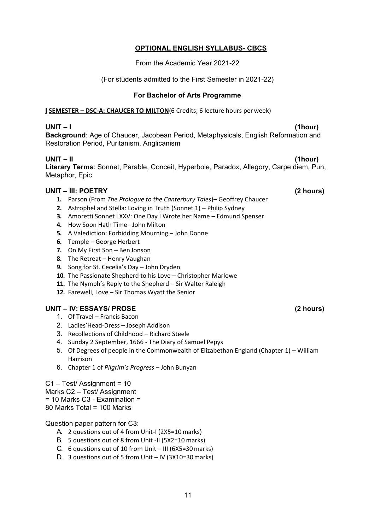# A. 2 questions out of 4 from Unit-I (2X5=10 marks)

- B. 5 questions out of 8 from Unit -II (5X2=10 marks)
- C. 6 questions out of 10 from Unit III (6X5=30marks)
- D. 3 questions out of 5 from Unit IV (3X10=30marks)

# (For students admitted to the First Semester in 2021-22)

# **For Bachelor of Arts Programme**

From the Academic Year 2021-22

**OPTIONAL ENGLISH SYLLABUS- CBCS**

**I SEMESTER – DSC-A: CHAUCER TO MILTON**(6 Credits; 6 lecture hours per week)

**UNIT – I (1hour) Background**: Age of Chaucer, Jacobean Period, Metaphysicals, English Reformation and Restoration Period, Puritanism, Anglicanism

**UNIT – II (1hour) Literary Terms**: Sonnet, Parable, Conceit, Hyperbole, Paradox, Allegory, Carpe diem, Pun, Metaphor, Epic

# **UNIT – III: POETRY (2 hours)**

- **1.** Parson (From *The Prologue to the Canterbury Tales*)– Geoffrey Chaucer
- **2.** Astrophel and Stella: Loving in Truth (Sonnet 1) Philip Sydney
- **3.** Amoretti Sonnet LXXV: One Day I Wrote her Name Edmund Spenser
- **4.** How Soon Hath Time– John Milton
- **5.** A Valediction: Forbidding Mourning John Donne
- **6.** Temple George Herbert
- **7.** On My First Son Ben Jonson
- **8.** The Retreat Henry Vaughan
- **9.** Song for St. Cecelia's Day John Dryden
- **10.** The Passionate Shepherd to his Love Christopher Marlowe
- **11.** The Nymph's Reply to the Shepherd Sir Walter Raleigh
- **12.** Farewell, Love Sir Thomas Wyatt the Senior

# **UNIT – IV: ESSAYS/ PROSE (2 hours)**

- 1. Of Travel Francis Bacon
- 2. Ladies'Head-Dress Joseph Addison
- 3. Recollections of Childhood Richard Steele
- 4. Sunday 2 September, 1666 The Diary of Samuel Pepys
- 5. Of Degrees of people in the Commonwealth of Elizabethan England (Chapter 1) William Harrison
- 6. Chapter 1 of *Pilgrim's Progress*  John Bunyan

# C1 – Test/ Assignment = 10 Marks C2 – Test/ Assignment = 10 Marks C3 - Examination =

80 Marks Total = 100 Marks

Question paper pattern for C3:

11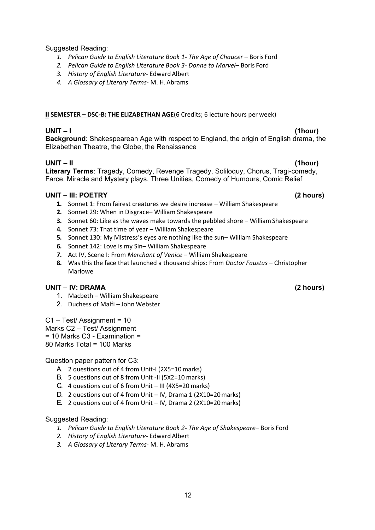Suggested Reading:

- 1. Pelican Guide to English Literature Book 1- The Age of Chaucer Boris Ford
- *2. Pelican Guide to English Literature Book 3- Donne to Marvel* Boris Ford
- *3. History of English Literature* EdwardAlbert
- *4. A Glossary of Literary Terms* M. H.Abrams

## **II SEMESTER – DSC-B: THE ELIZABETHAN AGE**(6 Credits; 6 lecture hours per week)

**UNIT – I (1hour) Background**: Shakespearean Age with respect to England, the origin of English drama, the Elizabethan Theatre, the Globe, the Renaissance

## **UNIT – II (1hour)**

**Literary Terms**: Tragedy, Comedy, Revenge Tragedy, Soliloquy, Chorus, Tragi-comedy, Farce, Miracle and Mystery plays, Three Unities, Comedy of Humours, Comic Relief

## **UNIT – III: POETRY (2 hours)**

- **1.** Sonnet 1: From fairest creatures we desire increase William Shakespeare
- **2.** Sonnet 29: When in Disgrace– William Shakespeare
- **3.** Sonnet 60: Like as the waves make towards the pebbled shore William Shakespeare
- **4.** Sonnet 73: That time of year William Shakespeare
- **5.** Sonnet 130: My Mistress's eyes are nothing like the sun– William Shakespeare
- **6.** Sonnet 142: Love is my Sin– William Shakespeare
- **7.** Act IV, Scene I: From *Merchant of Venice*  William Shakespeare
- **8.** Was this the face that launched a thousand ships: From *Doctor Faustus*  Christopher Marlowe

## **UNIT – IV: DRAMA (2 hours)**

- 1. Macbeth William Shakespeare
- 2. Duchess of Malfi John Webster

C1 – Test/ Assignment = 10

Marks C2 – Test/ Assignment

= 10 Marks C3 - Examination =

80 Marks Total = 100 Marks

#### Question paper pattern for C3:

- A. 2 questions out of 4 from Unit-I (2X5=10 marks)
- B. 5 questions out of 8 from Unit -II (5X2=10 marks)
- C. 4 questions out of 6 from Unit III (4X5=20 marks)
- D. 2 questions out of 4 from Unit IV, Drama 1 (2X10=20 marks)
- E. 2 questions out of 4 from Unit IV, Drama 2 (2X10=20marks)

#### Suggested Reading:

- *1. Pelican Guide to English Literature Book 2- The Age of Shakespeare* Boris Ford
- *2. History of English Literature* EdwardAlbert
- *3. A Glossary of Literary Terms* M. H. Abrams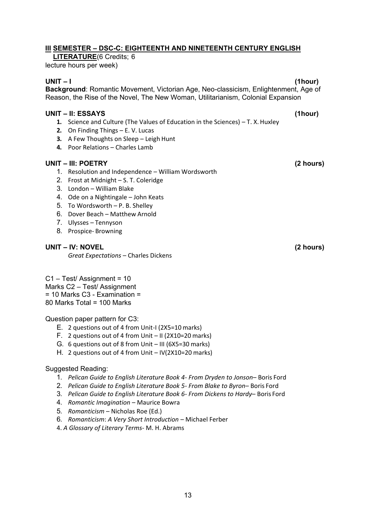## **III SEMESTER – DSC-C: EIGHTEENTH AND NINETEENTH CENTURY ENGLISH**

**LITERATURE**(6 Credits; 6

lecture hours per week)

**UNIT – I (1hour) Background**: Romantic Movement, Victorian Age, Neo-classicism, Enlightenment, Age of Reason, the Rise of the Novel, The New Woman, Utilitarianism, Colonial Expansion

#### **UNIT – II: ESSAYS (1hour)**

- **1.** Science and Culture (The Values of Education in the Sciences) T. X. Huxley
- **2.** On Finding Things E. V. Lucas
- **3.** A Few Thoughts on Sleep Leigh Hunt
- **4.** Poor Relations Charles Lamb

## **UNIT – III: POETRY (2 hours)**

- 1. Resolution and Independence William Wordsworth
- 2. Frost at Midnight S. T. Coleridge
- 3. London William Blake
- 4. Ode on a Nightingale John Keats
- 5. To Wordsworth P. B. Shelley
- 6. Dover Beach Matthew Arnold
- 7. Ulysses Tennyson
- 8. Prospice- Browning

## **UNIT – IV: NOVEL (2 hours)**

*Great Expectations* – Charles Dickens

C1 – Test/ Assignment = 10 Marks C2 – Test/ Assignment  $= 10$  Marks C<sub>3</sub> - Examination  $=$ 80 Marks Total = 100 Marks

Question paper pattern for C3:

- E. 2 questions out of 4 from Unit-I (2X5=10 marks)
- F. 2 questions out of 4 from Unit II (2X10=20 marks)
- G. 6 questions out of 8 from Unit III (6X5=30 marks)
- H. 2 questions out of 4 from Unit IV(2X10=20 marks)

#### Suggested Reading:

- 1. *Pelican Guide to English Literature Book 4- From Dryden to Jonson* Boris Ford
- 2. *Pelican Guide to English Literature Book 5- From Blake to Byron* Boris Ford
- 3. *Pelican Guide to English Literature Book 6- From Dickens to Hardy* Boris Ford
- 4. *Romantic Imagination*  Maurice Bowra
- 5. *Romanticism*  Nicholas Roe (Ed.)
- 6. *Romanticism*: *A Very Short Introduction*  Michael Ferber
- 4. *A Glossary of Literary Terms* M. H. Abrams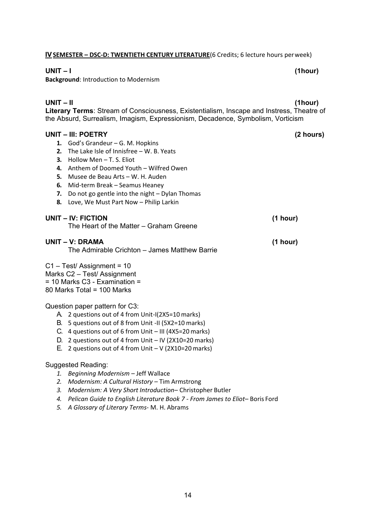#### **IVSEMESTER – DSC-D: TWENTIETH CENTURY LITERATURE**(6 Credits; 6 lecture hours perweek)

#### **UNIT – I (1hour)**

**Background**: Introduction to Modernism

#### **UNIT – II (1hour)**

**Literary Terms**: Stream of Consciousness, Existentialism, Inscape and Instress, Theatre of the Absurd, Surrealism, Imagism, Expressionism, Decadence, Symbolism, Vorticism

#### **UNIT – III: POETRY (2 hours)**

- **1.** God's Grandeur G. M. Hopkins
- **2.** The Lake Isle of Innisfree W. B. Yeats
- **3.** Hollow Men T. S. Eliot
- **4.** Anthem of Doomed Youth Wilfred Owen
- **5.** Musee de Beau Arts W. H. Auden
- **6.** Mid-term Break Seamus Heaney
- **7.** Do not go gentle into the night Dylan Thomas
- **8.** Love, We Must Part Now Philip Larkin

#### **UNIT – IV: FICTION (1 hour)** The Heart of the Matter – Graham Greene

#### **UNIT – V: DRAMA (1 hour)**

The Admirable Crichton – James Matthew Barrie

#### C1 – Test/ Assignment = 10

Marks C2 – Test/ Assignment

 $= 10$  Marks C<sub>3</sub> - Examination  $=$ 

80 Marks Total = 100 Marks

#### Question paper pattern for C3:

- A. 2 questions out of 4 from Unit-I(2X5=10 marks)
- B. 5 questions out of 8 from Unit -II (5X2=10 marks)
- C. 4 questions out of 6 from Unit III (4X5=20 marks)
- D. 2 questions out of 4 from Unit IV (2X10=20 marks)
- E. 2 questions out of 4 from Unit V  $(2X10=20 \text{ marks})$

#### Suggested Reading:

- *1. Beginning Modernism –* Jeff Wallace
- *2. Modernism: A Cultural History –* Tim Armstrong
- *3. Modernism: A Very Short Introduction–* Christopher Butler
- *4. Pelican Guide to English Literature Book 7 - From James to Eliot* Boris Ford
- *5. A Glossary of Literary Terms* M. H. Abrams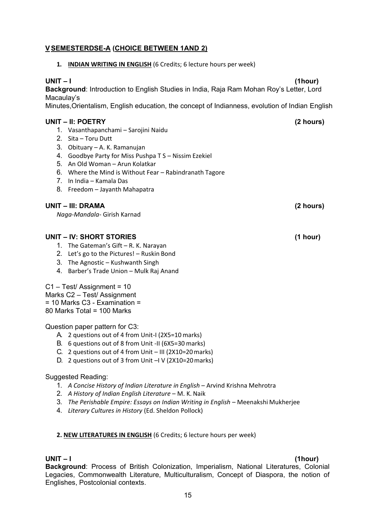## **VSEMESTERDSE-A (CHOICE BETWEEN 1AND 2)**

**1. INDIAN WRITING IN ENGLISH** (6 Credits; 6 lecture hours per week)

#### **UNIT – I (1hour)**

**Background**: Introduction to English Studies in India, Raja Ram Mohan Roy's Letter, Lord Macaulay's

Minutes,Orientalism, English education, the concept of Indianness, evolution of Indian English

#### **UNIT – II: POETRY (2 hours)**

- 1. Vasanthapanchami Sarojini Naidu
- 2. Sita Toru Dutt
- 3. Obituary A. K. Ramanujan
- 4. Goodbye Party for Miss Pushpa T S Nissim Ezekiel
- 5. An Old Woman Arun Kolatkar
- 6. Where the Mind is Without Fear Rabindranath Tagore
- 7. In India Kamala Das
- 8. Freedom Jayanth Mahapatra

#### **UNIT – III: DRAMA (2 hours)**

*Naga-Mandala-* Girish Karnad

#### **UNIT – IV: SHORT STORIES (1 hour)**

- 1. The Gateman's Gift R. K. Narayan
- 2. Let's go to the Pictures! Ruskin Bond
- 3. The Agnostic Kushwanth Singh
- 4. Barber's Trade Union Mulk Raj Anand

## C1 – Test/ Assignment = 10

- Marks C2 Test/ Assignment
- = 10 Marks C3 Examination =

80 Marks Total = 100 Marks

Question paper pattern for C3:

- A. 2 questions out of 4 from Unit-I (2X5=10 marks)
- B. 6 questions out of 8 from Unit -II (6X5=30 marks)
- C. 2 questions out of 4 from Unit III (2X10=20marks)
- D. 2 questions out of 3 from Unit –I V (2X10=20marks)

#### Suggested Reading:

- 1. A Concise History of Indian Literature in English Arvind Krishna Mehrotra
- 2. *A History of Indian English Literature*  M. K. Naik
- 3. *The Perishable Empire: Essays on Indian Writing in English Meenakshi Mukherjee*
- 4. *Literary Cultures in History* (Ed. Sheldon Pollock)

#### **2. NEW LITERATURES IN ENGLISH** (6 Credits; 6 lecture hours per week)

#### **UNIT – I (1hour)**

**Background**: Process of British Colonization, Imperialism, National Literatures, Colonial Legacies, Commonwealth Literature, Multiculturalism, Concept of Diaspora, the notion of Englishes, Postcolonial contexts.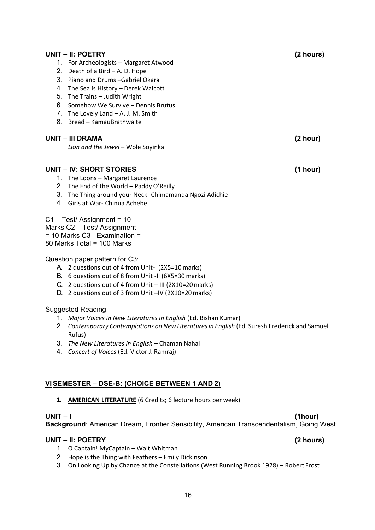# 6. Somehow We Survive – Dennis Brutus 7. The Lovely Land – A. J. M. Smith 8. Bread – KamauBrathwaite **UNIT – III DRAMA (2 hour)** *Lion and the Jewel* – Wole Soyinka **UNIT – IV: SHORT STORIES (1 hour) UNIT – I (1hour) UNIT – II: POETRY (2 hours)**

- 1. The Loons Margaret Laurence
- 2. The End of the World Paddy O'Reilly

1. For Archeologists – Margaret Atwood

2. Death of a Bird – A. D. Hope 3. Piano and Drums –Gabriel Okara 4. The Sea is History – Derek Walcott

5. The Trains – Judith Wright

- 3. The Thing around your Neck- Chimamanda Ngozi Adichie
- 4. Girls at War- Chinua Achebe

C1 – Test/ Assignment = 10

Marks C2 – Test/ Assignment

= 10 Marks C3 - Examination =

80 Marks Total = 100 Marks

#### Question paper pattern for C3:

- A. 2 questions out of 4 from Unit-I (2X5=10 marks)
- B. 6 questions out of 8 from Unit -II (6X5=30 marks)
- C. 2 questions out of 4 from Unit III (2X10=20marks)
- D. 2 questions out of 3 from Unit –IV (2X10=20marks)

## Suggested Reading:

- 1. *Major Voices in New Literatures in English* (Ed. Bishan Kumar)
- 2. *Contemporary Contemplations on New Literaturesin English* (Ed. Suresh Frederick and Samuel Rufus)
- 3. *The New Literatures in English*  Chaman Nahal
- 4. *Concert of Voices* (Ed. Victor J. Ramraj)

## **VISEMESTER – DSE-B: (CHOICE BETWEEN 1 AND 2)**

**1. AMERICAN LITERATURE** (6 Credits; 6 lecture hours per week)

**Background**: American Dream, Frontier Sensibility, American Transcendentalism, Going West

- 1. O Captain! MyCaptain Walt Whitman
- 2. Hope is the Thing with Feathers Emily Dickinson
- 3. On Looking Up by Chance at the Constellations (West Running Brook 1928) Robert Frost

**UNIT – II: POETRY (2 hours)**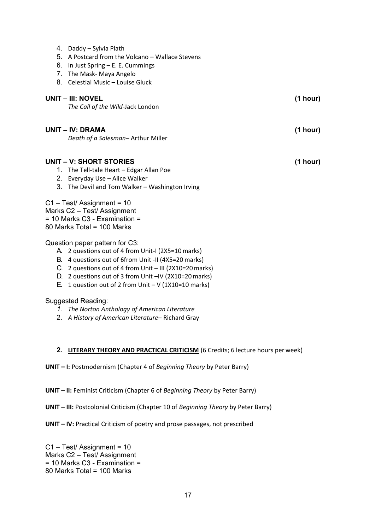|    | 4. Daddy – Sylvia Plath<br>5. A Postcard from the Volcano - Wallace Stevens<br>6. In Just Spring - E. E. Cummings<br>7. The Mask- Maya Angelo<br>8. Celestial Music - Louise Gluck                                                                                                            |          |
|----|-----------------------------------------------------------------------------------------------------------------------------------------------------------------------------------------------------------------------------------------------------------------------------------------------|----------|
|    | UNIT – III: NOVEL                                                                                                                                                                                                                                                                             | (1 hour) |
|    | The Call of the Wild-Jack London                                                                                                                                                                                                                                                              |          |
|    | UNIT – IV: DRAMA                                                                                                                                                                                                                                                                              | (1 hour) |
|    | Death of a Salesman-Arthur Miller                                                                                                                                                                                                                                                             |          |
| 1. | UNIT – V: SHORT STORIES<br>The Tell-tale Heart - Edgar Allan Poe<br>2. Everyday Use - Alice Walker                                                                                                                                                                                            | (1 hour) |
|    | 3. The Devil and Tom Walker - Washington Irving                                                                                                                                                                                                                                               |          |
|    | C1 - Test/ Assignment = 10<br>Marks C2 - Test/ Assignment<br>= 10 Marks C3 - Examination =<br>80 Marks Total = 100 Marks                                                                                                                                                                      |          |
|    | Question paper pattern for C3:                                                                                                                                                                                                                                                                |          |
|    | A. 2 questions out of 4 from Unit-I (2X5=10 marks)<br>B. 4 questions out of 6from Unit -II (4X5=20 marks)<br>C. 2 questions out of 4 from Unit - III (2X10=20 marks)<br>D. 2 questions out of 3 from Unit -IV (2X10=20 marks)<br>E. 1 question out of 2 from Unit $-V(1X10=10 \text{ marks})$ |          |
|    | Suggested Reading:                                                                                                                                                                                                                                                                            |          |

- *1. The Norton Anthology of American Literature*
- 2. *A History of American Literature* Richard Gray

#### **2. LITERARY THEORY AND PRACTICAL CRITICISM** (6 Credits; 6 lecture hours per week)

**UNIT – I:** Postmodernism (Chapter 4 of *Beginning Theory* by Peter Barry)

**UNIT – II:** Feminist Criticism (Chapter 6 of *Beginning Theory* by Peter Barry)

- **UNIT – III:** Postcolonial Criticism (Chapter 10 of *Beginning Theory* by Peter Barry)
- **UNIT – IV:** Practical Criticism of poetry and prose passages, not prescribed

C1 – Test/ Assignment = 10 Marks C2 – Test/ Assignment = 10 Marks C3 - Examination = 80 Marks Total = 100 Marks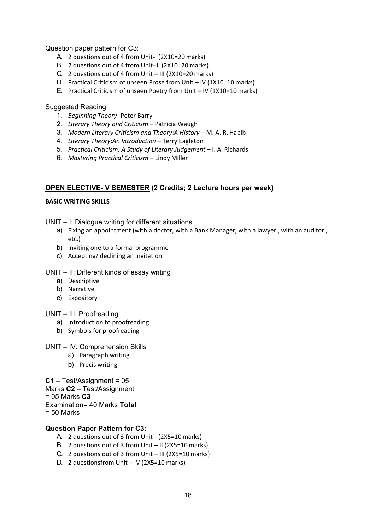Question paper pattern for C3:

- A. 2 questions out of 4 from Unit-I (2X10=20 marks)
- B. 2 questions out of 4 from Unit- II (2X10=20 marks)
- C. 2 questions out of 4 from Unit III (2X10=20 marks)
- D. Practical Criticism of unseen Prose from Unit IV (1X10=10 marks)
- E. Practical Criticism of unseen Poetry from Unit IV (1X10=10 marks)

#### Suggested Reading:

- 1. *Beginning Theory* Peter Barry
- 2. *Literary Theory and Criticism*  Patricia Waugh
- 3. Modern Literary Criticism and Theory: A History M. A. R. Habib
- 4. *Literary Theory*:*An Introduction*  Terry Eagleton
- 5. *Practical Criticism: A Study of Literary Judgement I. A. Richards*
- 6. *Mastering Practical Criticism*  Lindy Miller

#### **OPEN ELECTIVE- V SEMESTER (2 Credits; 2 Lecture hours per week)**

#### **BASIC WRITING SKILLS**

- UNIT I: Dialogue writing for different situations
	- a) Fixing an appointment (with a doctor, with a Bank Manager, with a lawyer, with an auditor, etc.)
	- b) Inviting one to a formal programme
	- c) Accepting/ declining an invitation

UNIT – II: Different kinds of essay writing

- a) Descriptive
- b) Narrative
- c) Expository

#### UNIT – III: Proofreading

- a) Introduction to proofreading
- b) Symbols for proofreading
- UNIT IV: Comprehension Skills
	- a) Paragraph writing
	- b) Precis writing

**C1** – Test/Assignment = 05

Marks **C2** – Test/Assignment

= 05 Marks **C3** –

Examination= 40 Marks **Total** 

= 50 Marks

#### **Question Paper Pattern for C3:**

- A. 2 questions out of 3 from Unit-I (2X5=10 marks)
- B. 2 questions out of 3 from Unit II ( $2X5=10$  marks)
- C. 2 questions out of 3 from Unit III (2X5=10 marks)
- D. 2 questionsfrom Unit IV (2X5=10 marks)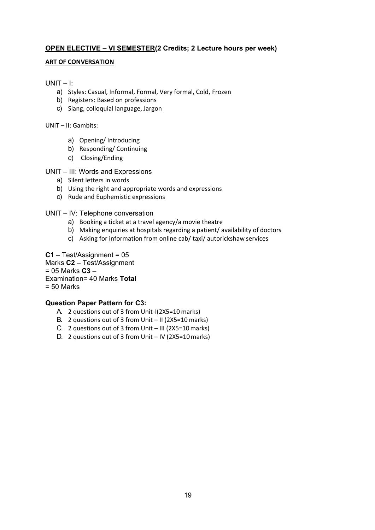## **OPEN ELECTIVE – VI SEMESTER(2 Credits; 2 Lecture hours per week)**

#### **ART OF CONVERSATION**

#### $UNIT - 1:$

- a) Styles: Casual, Informal, Formal, Very formal, Cold, Frozen
- b) Registers: Based on professions
- c) Slang, colloquial language, Jargon

UNIT – II: Gambits:

- a) Opening/ Introducing
- b) Responding/ Continuing
- c) Closing/Ending

#### UNIT – III: Words and Expressions

- a) Silent letters in words
- b) Using the right and appropriate words and expressions
- c) Rude and Euphemistic expressions

UNIT – IV: Telephone conversation

- a) Booking a ticket at a travel agency/a movie theatre
- b) Making enquiries at hospitals regarding a patient/ availability of doctors
- c) Asking for information from online cab/ taxi/ autorickshaw services

#### **C1** – Test/Assignment = 05

Marks **C2** – Test/Assignment

#### = 05 Marks **C3** –

Examination= 40 Marks **Total** 

 $= 50$  Marks

#### **Question Paper Pattern for C3:**

- A. 2 questions out of 3 from Unit-I(2X5=10 marks)
- B. 2 questions out of 3 from Unit II ( $2X5=10$  marks)
- C. 2 questions out of 3 from Unit III (2X5=10marks)
- D. 2 questions out of 3 from Unit IV ( $2X5=10$  marks)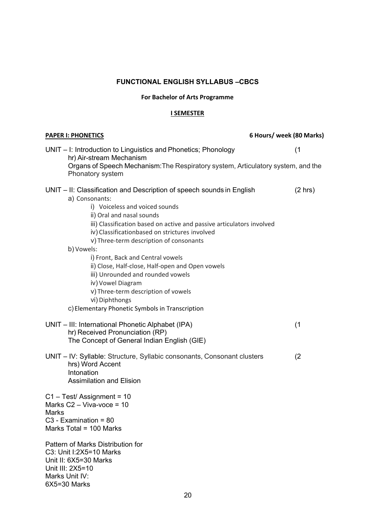# **FUNCTIONAL ENGLISH SYLLABUS –CBCS**

#### **For Bachelor of Arts Programme**

#### **I SEMESTER**

| <b>PAPER I: PHONETICS</b>                                                                                                                                                                                                                                                                                                                                                                                                                                                                                                                                                                                 | 6 Hours/ week (80 Marks) |
|-----------------------------------------------------------------------------------------------------------------------------------------------------------------------------------------------------------------------------------------------------------------------------------------------------------------------------------------------------------------------------------------------------------------------------------------------------------------------------------------------------------------------------------------------------------------------------------------------------------|--------------------------|
| UNIT - I: Introduction to Linguistics and Phonetics; Phonology<br>hr) Air-stream Mechanism<br>Organs of Speech Mechanism: The Respiratory system, Articulatory system, and the<br>Phonatory system                                                                                                                                                                                                                                                                                                                                                                                                        | (1)                      |
| UNIT – II: Classification and Description of speech sounds in English<br>a) Consonants:<br>i) Voiceless and voiced sounds<br>ii) Oral and nasal sounds<br>iii) Classification based on active and passive articulators involved<br>iv) Classificationbased on strictures involved<br>v) Three-term description of consonants<br>b) Vowels:<br>i) Front, Back and Central vowels<br>ii) Close, Half-close, Half-open and Open vowels<br>iii) Unrounded and rounded vowels<br>iv) Vowel Diagram<br>v) Three-term description of vowels<br>vi) Diphthongs<br>c) Elementary Phonetic Symbols in Transcription | $(2 \text{ hrs})$        |
| UNIT - III: International Phonetic Alphabet (IPA)<br>hr) Received Pronunciation (RP)<br>The Concept of General Indian English (GIE)                                                                                                                                                                                                                                                                                                                                                                                                                                                                       | (1)                      |
| UNIT - IV: Syllable: Structure, Syllabic consonants, Consonant clusters<br>hrs) Word Accent<br>Intonation<br><b>Assimilation and Elision</b>                                                                                                                                                                                                                                                                                                                                                                                                                                                              | (2)                      |
| $C1 - Test / Assignment = 10$<br>Marks $C2 - Viva-voce = 10$<br>Marks<br>$C3$ - Examination = 80<br>Marks Total = 100 Marks<br>Pattern of Marks Distribution for<br>C3: Unit I:2X5=10 Marks<br>Unit II: 6X5=30 Marks<br>Unit III: 2X5=10<br>Marks Unit IV:<br>6X5=30 Marks                                                                                                                                                                                                                                                                                                                                |                          |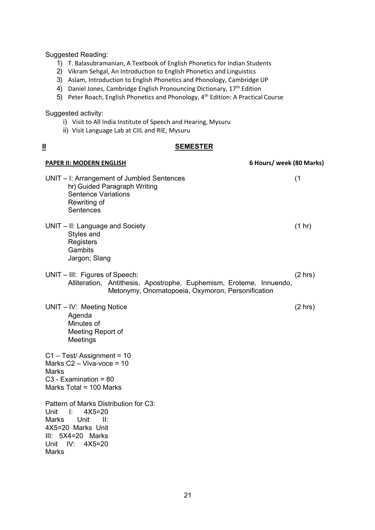Suggested Reading:

- 1) T. Balasubramanian, A Textbook of English Phonetics for Indian Students
- 2) Vikram Sehgal, An Introduction to English Phonetics and Linguistics
- 3) Aslam, Introduction to English Phonetics and Phonology, Cambridge UP
- 4) Daniel Jones, Cambridge English Pronouncing Dictionary, 17<sup>th</sup> Edition
- 5) Peter Roach, English Phonetics and Phonology, 4th Edition: A Practical Course

Suggested activity:

- i) Visit to All India Institute of Speech and Hearing, Mysuru
- ii) Visit Language Lab at CIIL and RIE, Mysuru

## **II SEMESTER**

| <b>PAPER II: MODERN ENGLISH</b>                                                                                                                                                              | 6 Hours/ week (80 Marks) |
|----------------------------------------------------------------------------------------------------------------------------------------------------------------------------------------------|--------------------------|
| UNIT - I: Arrangement of Jumbled Sentences<br>hr) Guided Paragraph Writing<br><b>Sentence Variations</b><br>Rewriting of<br>Sentences                                                        | (1)                      |
| UNIT - II: Language and Society<br>Styles and<br>Registers<br>Gambits<br>Jargon; Slang                                                                                                       | (1 hr)                   |
| UNIT - III: Figures of Speech:<br>Alliteration, Antithesis, Apostrophe, Euphemism, Eroteme, Innuendo,<br>Metonymy, Onomatopoeia, Oxymoron, Personification                                   | $(2 \text{ hrs})$        |
| UNIT - IV: Meeting Notice<br>Agenda<br>Minutes of<br>Meeting Report of<br>Meetings                                                                                                           | $(2 \text{ hrs})$        |
| C1 - Test/ Assignment = 10<br>Marks $C2 - Viva-voce = 10$<br><b>Marks</b><br>$C3$ - Examination = 80<br>Marks Total = 100 Marks                                                              |                          |
| Pattern of Marks Distribution for C3:<br>$\Box$<br>Unit<br>$4X5=20$<br>Marks<br>Unit<br>$\mathbf{II}$ :<br>4X5=20 Marks Unit<br>III: 5X4=20 Marks<br>Unit<br>IV:<br>$4X5=20$<br><b>Marks</b> |                          |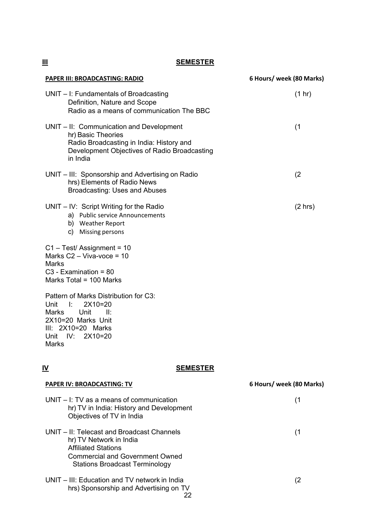**III SEMESTER**

| PAPER III: BROADCASTING: RADIO                                                                                                                                          | 6 Hours/ week (80 Marks) |
|-------------------------------------------------------------------------------------------------------------------------------------------------------------------------|--------------------------|
| UNIT - I: Fundamentals of Broadcasting<br>Definition, Nature and Scope<br>Radio as a means of communication The BBC                                                     | (1 hr)                   |
| UNIT - II: Communication and Development<br>hr) Basic Theories<br>Radio Broadcasting in India: History and<br>Development Objectives of Radio Broadcasting<br>in India  | (1)                      |
| UNIT – III: Sponsorship and Advertising on Radio<br>hrs) Elements of Radio News<br><b>Broadcasting: Uses and Abuses</b>                                                 | (2)                      |
| $UNIT - IV$ : Script Writing for the Radio<br>a) Public service Announcements<br>b) Weather Report<br>Missing persons<br>C)                                             | (2 hr)                   |
| $C1 - Test / Assignment = 10$<br>Marks $C2 - Viva-voce = 10$<br>Marks<br>$C3$ - Examination = 80<br>Marks Total = 100 Marks                                             |                          |
| Pattern of Marks Distribution for C3:<br>Unit I:<br>$2X10=20$<br>Unit<br>Marks<br>- II:<br>2X10=20 Marks Unit<br>$III: 2X10=20$ Marks<br>Unit IV:<br>$2X10=20$<br>Marks |                          |
| IV<br><b>SEMESTER</b>                                                                                                                                                   |                          |
| <b>PAPER IV: BROADCASTING: TV</b>                                                                                                                                       | 6 Hours/ week (80 Marks) |
| $UNIT - I$ : TV as a means of communication<br>hr) TV in India: History and Development<br>Objectives of TV in India                                                    | (1)                      |

UNIT – II: Telecast and Broadcast Channels (1 hr) TV Network in India Affiliated Stations Commercial and Government Owned Stations Broadcast Terminology

#### 22 UNIT – III: Education and TV network in India (2 hrs) Sponsorship and Advertising on TV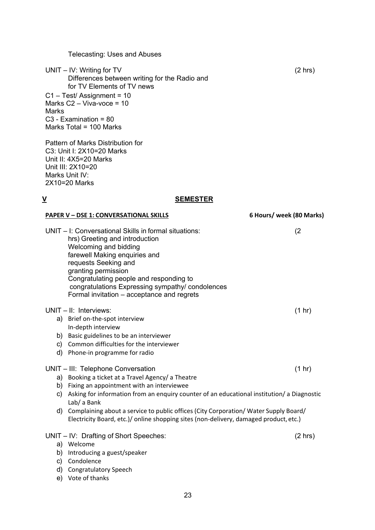Telecasting: Uses and Abuses

UNIT – IV: Writing for TV (2 hrs) Differences between writing for the Radio and for TV Elements of TV news C1 – Test/ Assignment = 10 Marks  $C2 - Viva-voce = 10$ Marks C3 - Examination = 80 Marks Total = 100 Marks

Pattern of Marks Distribution for C3: Unit I: 2X10=20 Marks Unit II: 4X5=20 Marks Unit III: 2X10=20 Marks Unit IV: 2X10=20 Marks

#### **V SEMESTER**

#### **PAPER V – DSE 1: CONVERSATIONAL SKILLS 6 Hours/ week (80 Marks)**

UNIT – I: Conversational Skills in formal situations: (2 hrs) Greeting and introduction Welcoming and bidding farewell Making enquiries and requests Seeking and granting permission Congratulating people and responding to congratulations Expressing sympathy/ condolences Formal invitation – acceptance and regrets

## UNIT – II: Interviews: (1 hr)

- a) Brief on-the-spot interview In-depth interview
- b) Basic guidelines to be an interviewer
- c) Common difficulties for the interviewer
- d) Phone-in programme for radio

#### UNIT – III: Telephone Conversation (1 hr)

- a) Booking a ticket at a Travel Agency/ a Theatre
- b) Fixing an appointment with an interviewee
- c) Asking for information from an enquiry counter of an educational institution/ a Diagnostic Lab/ a Bank
- d) Complaining about a service to public offices (City Corporation/ Water Supply Board/ Electricity Board, etc.)/ online shopping sites (non-delivery, damaged product, etc.)

#### UNIT – IV: Drafting of Short Speeches: (2 hrs)

- a) Welcome
- b) Introducing a guest/speaker
- c) Condolence
- d) Congratulatory Speech
- e) Vote of thanks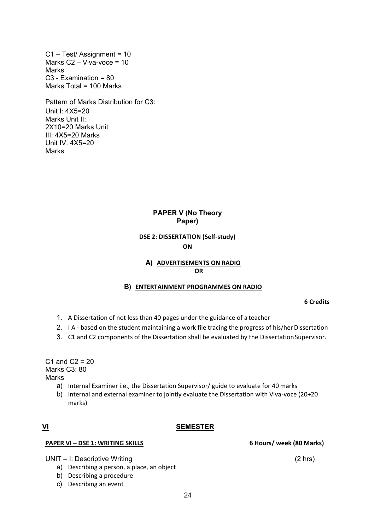C1 – Test/ Assignment = 10 Marks  $C2 - Viva-voce = 10$ Marks C3 - Examination = 80 Marks Total = 100 Marks

Pattern of Marks Distribution for C3: Unit I: 4X5=20 Marks Unit II: 2X10=20 Marks Unit III: 4X5=20 Marks Unit IV: 4X5=20 **Marks** 

## **PAPER V (No Theory Paper)**

## **DSE 2: DISSERTATION (Self-study) ON**

#### **A) ADVERTISEMENTS ON RADIO OR**

#### **B) ENTERTAINMENT PROGRAMMES ON RADIO**

**6 Credits**

- 1. A Dissertation of not less than 40 pages under the guidance of a teacher
- 2. I A based on the student maintaining a work file tracing the progress of his/her Dissertation
- 3. C1 and C2 components of the Dissertation shall be evaluated by the DissertationSupervisor.

C1 and  $C2 = 20$ Marks C<sub>3</sub>: 80 **Marks** 

- a) Internal Examiner i.e., the Dissertation Supervisor/ guide to evaluate for 40 marks
- b) Internal and external examiner to jointly evaluate the Dissertation with Viva-voce (20+20 marks)

#### **VI SEMESTER**

#### **PAPER VI – DSE 1: WRITING SKILLS 6 Hours/ week (80 Marks)**

UNIT – I: Descriptive Writing (2 hrs)

- a) Describing a person, a place, an object
- b) Describing a procedure
- c) Describing an event